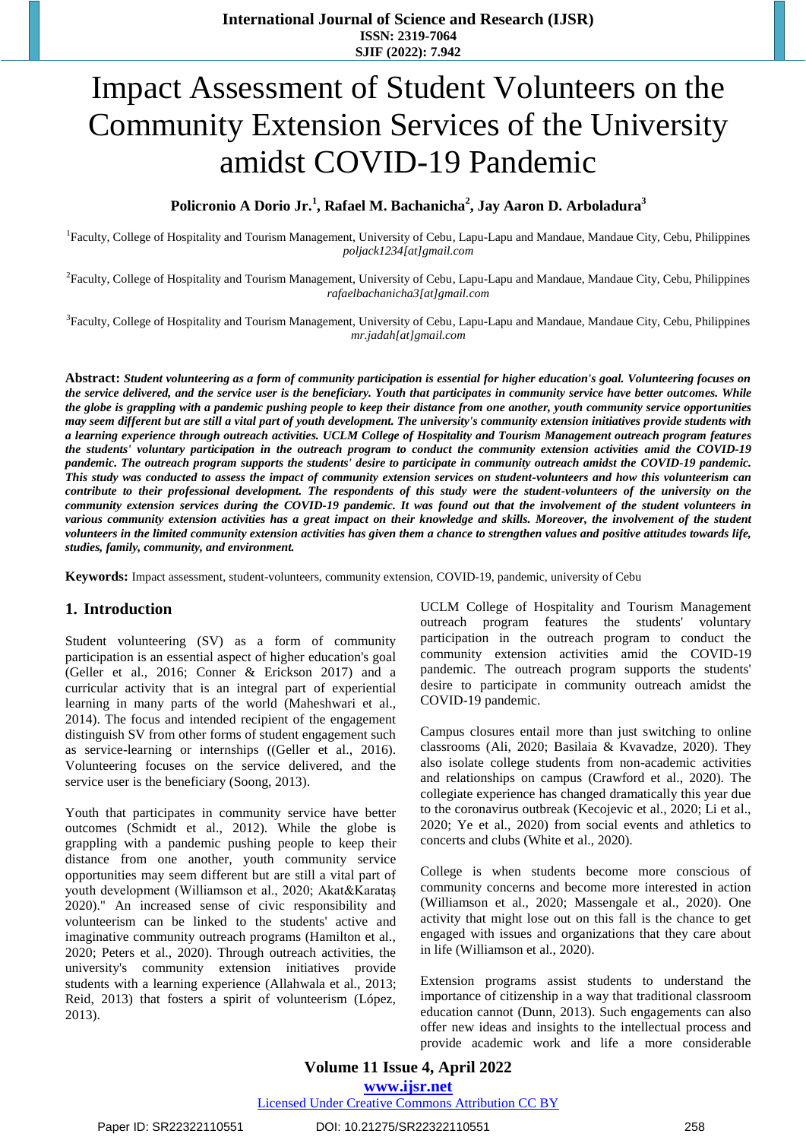# Impact Assessment of Student Volunteers on the Community Extension Services of the University amidst COVID-19 Pandemic

**Policronio A Dorio Jr.<sup>1</sup> , Rafael M. Bachanicha<sup>2</sup> , Jay Aaron D. Arboladura<sup>3</sup>**

<sup>1</sup>Faculty, College of Hospitality and Tourism Management, University of Cebu, Lapu-Lapu and Mandaue, Mandaue City, Cebu, Philippines *poljack1234[at]gmail.com*

<sup>2</sup> Faculty, College of Hospitality and Tourism Management, University of Cebu, Lapu-Lapu and Mandaue, Mandaue City, Cebu, Philippines *rafaelbachanicha3[at]gmail.com*

<sup>3</sup> Faculty, College of Hospitality and Tourism Management, University of Cebu, Lapu-Lapu and Mandaue, Mandaue City, Cebu, Philippines *mr.jadah[at]gmail.com*

**Abstract:** *Student volunteering as a form of community participation is essential for higher education's goal. Volunteering focuses on the service delivered, and the service user is the beneficiary. Youth that participates in community service have better outcomes. While the globe is grappling with a pandemic pushing people to keep their distance from one another, youth community service opportunities may seem different but are still a vital part of youth development. The university's community extension initiatives provide students with a learning experience through outreach activities. UCLM College of Hospitality and Tourism Management outreach program features the students' voluntary participation in the outreach program to conduct the community extension activities amid the COVID-19 pandemic. The outreach program supports the students' desire to participate in community outreach amidst the COVID-19 pandemic. This study was conducted to assess the impact of community extension services on student-volunteers and how this volunteerism can contribute to their professional development. The respondents of this study were the student-volunteers of the university on the community extension services during the COVID-19 pandemic. It was found out that the involvement of the student volunteers in various community extension activities has a great impact on their knowledge and skills. Moreover, the involvement of the student volunteers in the limited community extension activities has given them a chance to strengthen values and positive attitudes towards life, studies, family, community, and environment.*

**Keywords:** Impact assessment, student-volunteers, community extension, COVID-19, pandemic, university of Cebu

# **1. Introduction**

Student volunteering (SV) as a form of community participation is an essential aspect of higher education's goal (Geller et al., 2016; Conner & Erickson 2017) and a curricular activity that is an integral part of experiential learning in many parts of the world (Maheshwari et al., 2014). The focus and intended recipient of the engagement distinguish SV from other forms of student engagement such as service-learning or internships ((Geller et al., 2016). Volunteering focuses on the service delivered, and the service user is the beneficiary (Soong, 2013).

Youth that participates in community service have better outcomes (Schmidt et al., 2012). While the globe is grappling with a pandemic pushing people to keep their distance from one another, youth community service opportunities may seem different but are still a vital part of youth development (Williamson et al., 2020; Akat&Karataş 2020)." An increased sense of civic responsibility and volunteerism can be linked to the students' active and imaginative community outreach programs (Hamilton et al., 2020; Peters et al., 2020). Through outreach activities, the university's community extension initiatives provide students with a learning experience (Allahwala et al., 2013; Reid, 2013) that fosters a spirit of volunteerism (López, 2013).

UCLM College of Hospitality and Tourism Management outreach program features the students' voluntary participation in the outreach program to conduct the community extension activities amid the COVID-19 pandemic. The outreach program supports the students' desire to participate in community outreach amidst the COVID-19 pandemic.

Campus closures entail more than just switching to online classrooms (Ali, 2020; Basilaia & Kvavadze, 2020). They also isolate college students from non-academic activities and relationships on campus (Crawford et al., 2020). The collegiate experience has changed dramatically this year due to the coronavirus outbreak (Kecojevic et al., 2020; Li et al., 2020; Ye et al., 2020) from social events and athletics to concerts and clubs (White et al., 2020).

College is when students become more conscious of community concerns and become more interested in action (Williamson et al., 2020; Massengale et al., 2020). One activity that might lose out on this fall is the chance to get engaged with issues and organizations that they care about in life (Williamson et al., 2020).

Extension programs assist students to understand the importance of citizenship in a way that traditional classroom education cannot (Dunn, 2013). Such engagements can also offer new ideas and insights to the intellectual process and provide academic work and life a more considerable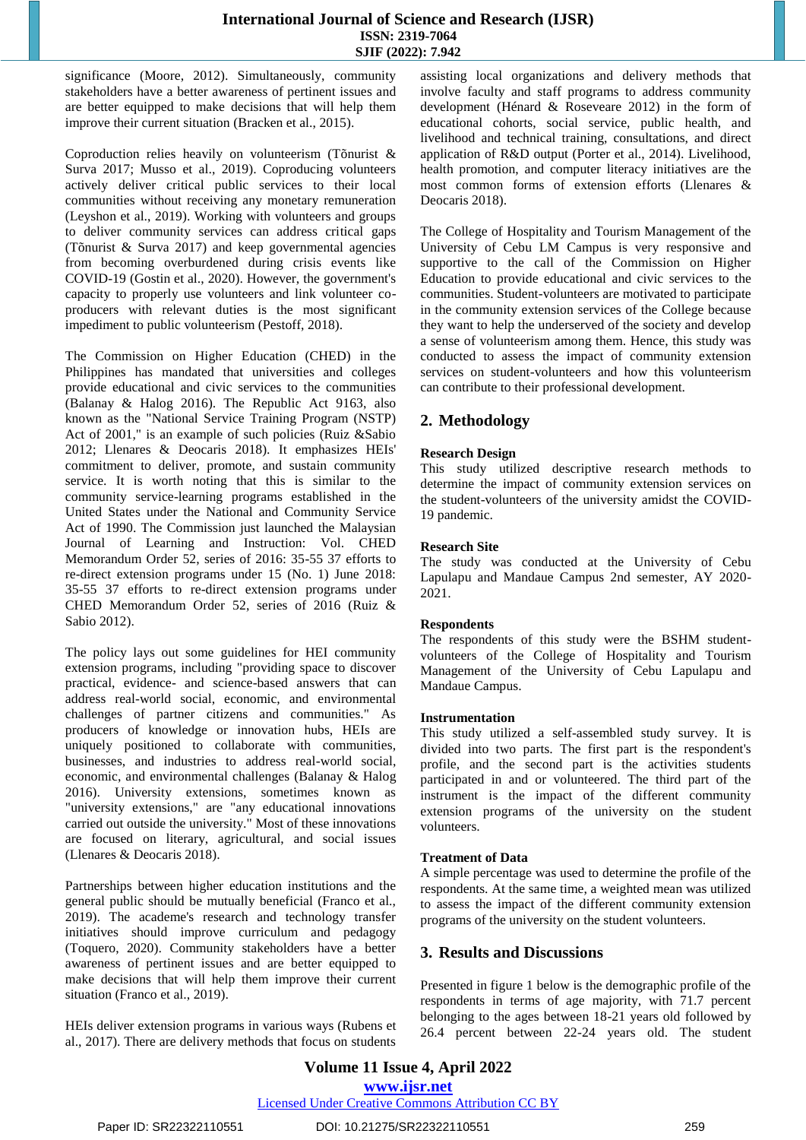#### **International Journal of Science and Research (IJSR) ISSN: 2319-7064 SJIF (2022): 7.942**

significance (Moore, 2012). Simultaneously, community stakeholders have a better awareness of pertinent issues and are better equipped to make decisions that will help them improve their current situation (Bracken et al., 2015).

Coproduction relies heavily on volunteerism (Tõnurist & Surva 2017; Musso et al., 2019). Coproducing volunteers actively deliver critical public services to their local communities without receiving any monetary remuneration (Leyshon et al., 2019). Working with volunteers and groups to deliver community services can address critical gaps (Tõnurist & Surva 2017) and keep governmental agencies from becoming overburdened during crisis events like COVID-19 (Gostin et al., 2020). However, the government's capacity to properly use volunteers and link volunteer coproducers with relevant duties is the most significant impediment to public volunteerism (Pestoff, 2018).

The Commission on Higher Education (CHED) in the Philippines has mandated that universities and colleges provide educational and civic services to the communities (Balanay & Halog 2016). The Republic Act 9163, also known as the "National Service Training Program (NSTP) Act of 2001," is an example of such policies (Ruiz &Sabio 2012; Llenares & Deocaris 2018). It emphasizes HEIs' commitment to deliver, promote, and sustain community service. It is worth noting that this is similar to the community service-learning programs established in the United States under the National and Community Service Act of 1990. The Commission just launched the Malaysian Journal of Learning and Instruction: Vol. CHED Memorandum Order 52, series of 2016: 35-55 37 efforts to re-direct extension programs under 15 (No. 1) June 2018: 35-55 37 efforts to re-direct extension programs under CHED Memorandum Order 52, series of 2016 (Ruiz & Sabio 2012).

The policy lays out some guidelines for HEI community extension programs, including "providing space to discover practical, evidence- and science-based answers that can address real-world social, economic, and environmental challenges of partner citizens and communities." As producers of knowledge or innovation hubs, HEIs are uniquely positioned to collaborate with communities, businesses, and industries to address real-world social, economic, and environmental challenges (Balanay & Halog 2016). University extensions, sometimes known as "university extensions," are "any educational innovations carried out outside the university." Most of these innovations are focused on literary, agricultural, and social issues (Llenares & Deocaris 2018).

Partnerships between higher education institutions and the general public should be mutually beneficial (Franco et al., 2019). The academe's research and technology transfer initiatives should improve curriculum and pedagogy (Toquero, 2020). Community stakeholders have a better awareness of pertinent issues and are better equipped to make decisions that will help them improve their current situation (Franco et al., 2019).

HEIs deliver extension programs in various ways (Rubens et al., 2017). There are delivery methods that focus on students

assisting local organizations and delivery methods that involve faculty and staff programs to address community development (Hénard & Roseveare 2012) in the form of educational cohorts, social service, public health, and livelihood and technical training, consultations, and direct application of R&D output (Porter et al., 2014). Livelihood, health promotion, and computer literacy initiatives are the most common forms of extension efforts (Llenares & Deocaris 2018).

The College of Hospitality and Tourism Management of the University of Cebu LM Campus is very responsive and supportive to the call of the Commission on Higher Education to provide educational and civic services to the communities. Student-volunteers are motivated to participate in the community extension services of the College because they want to help the underserved of the society and develop a sense of volunteerism among them. Hence, this study was conducted to assess the impact of community extension services on student-volunteers and how this volunteerism can contribute to their professional development.

# **2. Methodology**

# **Research Design**

This study utilized descriptive research methods to determine the impact of community extension services on the student-volunteers of the university amidst the COVID-19 pandemic.

# **Research Site**

The study was conducted at the University of Cebu Lapulapu and Mandaue Campus 2nd semester, AY 2020- 2021.

# **Respondents**

The respondents of this study were the BSHM studentvolunteers of the College of Hospitality and Tourism Management of the University of Cebu Lapulapu and Mandaue Campus.

#### **Instrumentation**

This study utilized a self-assembled study survey. It is divided into two parts. The first part is the respondent's profile, and the second part is the activities students participated in and or volunteered. The third part of the instrument is the impact of the different community extension programs of the university on the student volunteers.

# **Treatment of Data**

A simple percentage was used to determine the profile of the respondents. At the same time, a weighted mean was utilized to assess the impact of the different community extension programs of the university on the student volunteers.

# **3. Results and Discussions**

Presented in figure 1 below is the demographic profile of the respondents in terms of age majority, with 71.7 percent belonging to the ages between 18-21 years old followed by 26.4 percent between 22-24 years old. The student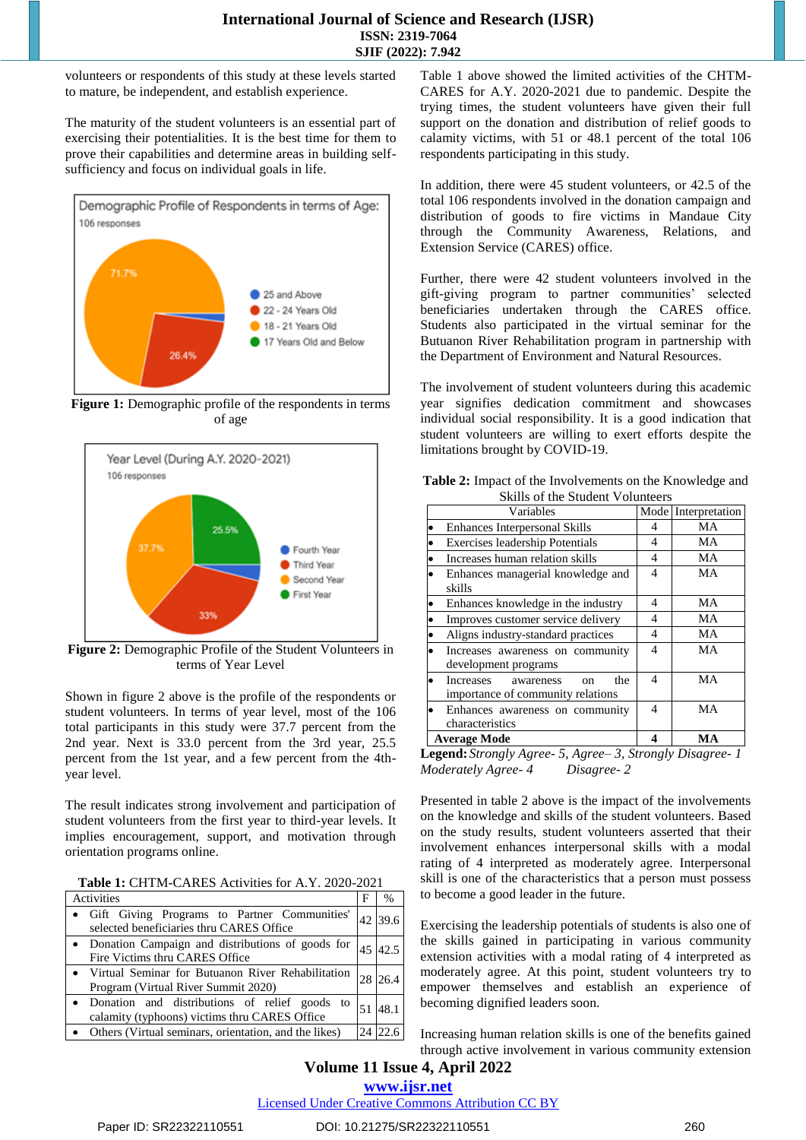volunteers or respondents of this study at these levels started to mature, be independent, and establish experience.

The maturity of the student volunteers is an essential part of exercising their potentialities. It is the best time for them to prove their capabilities and determine areas in building selfsufficiency and focus on individual goals in life.



Figure 1: Demographic profile of the respondents in terms of age



**Figure 2:** Demographic Profile of the Student Volunteers in terms of Year Level

Shown in figure 2 above is the profile of the respondents or student volunteers. In terms of year level, most of the 106 total participants in this study were 37.7 percent from the 2nd year. Next is 33.0 percent from the 3rd year, 25.5 percent from the 1st year, and a few percent from the 4thyear level.

The result indicates strong involvement and participation of student volunteers from the first year to third-year levels. It implies encouragement, support, and motivation through orientation programs online.

**Table 1:** CHTM-CARES Activities for A.Y. 2020-2021

| Activities<br>$\%$<br>F<br>• Gift Giving Programs to Partner Communities'<br>39.6<br>42<br>selected beneficiaries thru CARES Office<br>· Donation Campaign and distributions of goods for<br>42.5<br>Fire Victims thru CARES Office<br>• Virtual Seminar for Butuanon River Rehabilitation<br>28<br>264<br>Program (Virtual River Summit 2020)<br>• Donation and distributions of relief goods to<br>48.1<br>calamity (typhoons) victims thru CARES Office<br>226<br>• Others (Virtual seminars, orientation, and the likes) |  |  |
|------------------------------------------------------------------------------------------------------------------------------------------------------------------------------------------------------------------------------------------------------------------------------------------------------------------------------------------------------------------------------------------------------------------------------------------------------------------------------------------------------------------------------|--|--|
|                                                                                                                                                                                                                                                                                                                                                                                                                                                                                                                              |  |  |
|                                                                                                                                                                                                                                                                                                                                                                                                                                                                                                                              |  |  |
|                                                                                                                                                                                                                                                                                                                                                                                                                                                                                                                              |  |  |
|                                                                                                                                                                                                                                                                                                                                                                                                                                                                                                                              |  |  |
|                                                                                                                                                                                                                                                                                                                                                                                                                                                                                                                              |  |  |
|                                                                                                                                                                                                                                                                                                                                                                                                                                                                                                                              |  |  |

Table 1 above showed the limited activities of the CHTM-CARES for A.Y. 2020-2021 due to pandemic. Despite the trying times, the student volunteers have given their full support on the donation and distribution of relief goods to calamity victims, with 51 or 48.1 percent of the total 106 respondents participating in this study.

In addition, there were 45 student volunteers, or 42.5 of the total 106 respondents involved in the donation campaign and distribution of goods to fire victims in Mandaue City through the Community Awareness, Relations, and Extension Service (CARES) office.

Further, there were 42 student volunteers involved in the gift-giving program to partner communities' selected beneficiaries undertaken through the CARES office. Students also participated in the virtual seminar for the Butuanon River Rehabilitation program in partnership with the Department of Environment and Natural Resources.

The involvement of student volunteers during this academic year signifies dedication commitment and showcases individual social responsibility. It is a good indication that student volunteers are willing to exert efforts despite the limitations brought by COVID-19.

| SKIIIS OF the Student Volumeers<br>Variables                                     |   | Mode Interpretation |
|----------------------------------------------------------------------------------|---|---------------------|
| <b>Enhances Interpersonal Skills</b>                                             | 4 | MA                  |
| <b>Exercises leadership Potentials</b>                                           | 4 | MA                  |
| Increases human relation skills                                                  | 4 | MA                  |
| Enhances managerial knowledge and<br>skills                                      | 4 | MA                  |
| Enhances knowledge in the industry                                               | 4 | MA                  |
| Improves customer service delivery                                               | 4 | MA                  |
| Aligns industry-standard practices                                               | 4 | MA                  |
| Increases awareness on community<br>development programs                         | 4 | МA                  |
| Increases<br>the<br>awareness<br>$\alpha$ n<br>importance of community relations | 4 | MA                  |
| Enhances awareness on community<br>characteristics                               | 4 | МA                  |
| <b>Average Mode</b>                                                              | 4 | МA                  |

**Table 2:** Impact of the Involvements on the Knowledge and  $\mathbf{S}_{\mathbf{S}}$  Skille of the Student Volunt

**Legend:***Strongly Agree- 5, Agree– 3, Strongly Disagree- 1 Moderately Agree- 4 Disagree- 2*

Presented in table 2 above is the impact of the involvements on the knowledge and skills of the student volunteers. Based on the study results, student volunteers asserted that their involvement enhances interpersonal skills with a modal rating of 4 interpreted as moderately agree. Interpersonal skill is one of the characteristics that a person must possess to become a good leader in the future.

Exercising the leadership potentials of students is also one of the skills gained in participating in various community extension activities with a modal rating of 4 interpreted as moderately agree. At this point, student volunteers try to empower themselves and establish an experience of becoming dignified leaders soon.

Increasing human relation skills is one of the benefits gained through active involvement in various community extension

# **Volume 11 Issue 4, April 2022 www.ijsr.net**

Licensed Under Creative Commons Attribution CC BY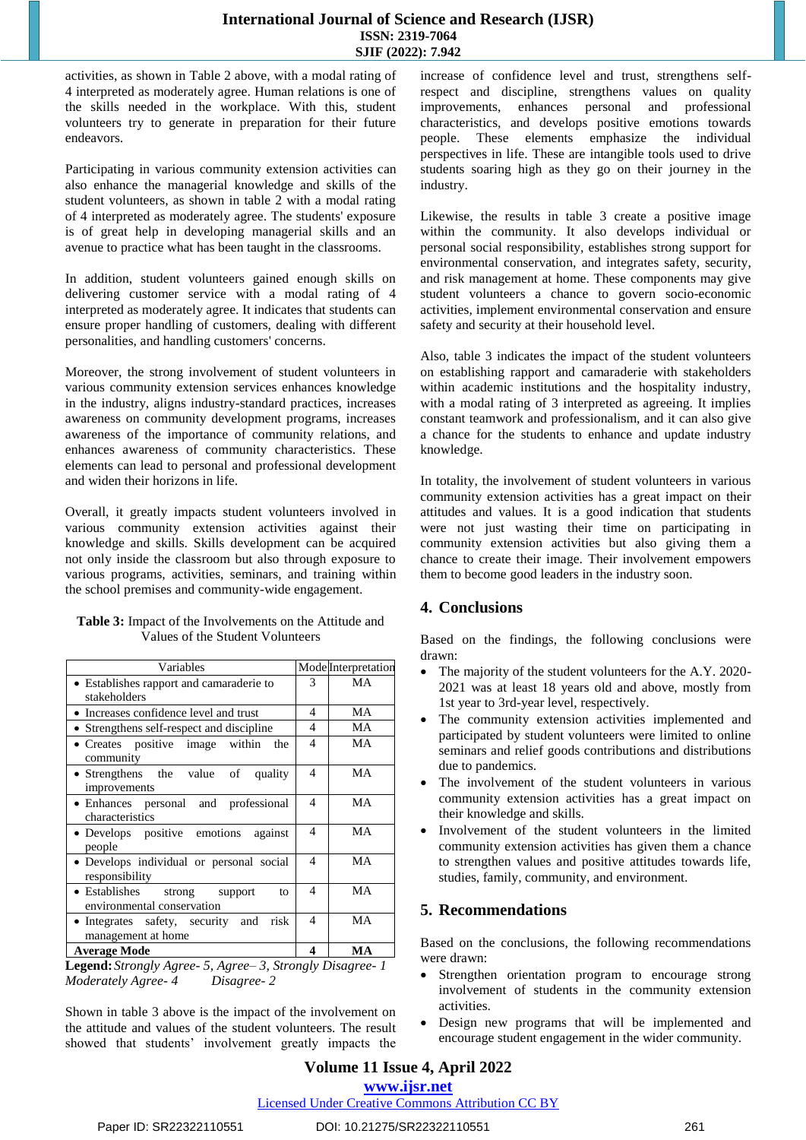#### **International Journal of Science and Research (IJSR) ISSN: 2319-7064 SJIF (2022): 7.942**

activities, as shown in Table 2 above, with a modal rating of 4 interpreted as moderately agree. Human relations is one of the skills needed in the workplace. With this, student volunteers try to generate in preparation for their future endeavors.

Participating in various community extension activities can also enhance the managerial knowledge and skills of the student volunteers, as shown in table 2 with a modal rating of 4 interpreted as moderately agree. The students' exposure is of great help in developing managerial skills and an avenue to practice what has been taught in the classrooms.

In addition, student volunteers gained enough skills on delivering customer service with a modal rating of 4 interpreted as moderately agree. It indicates that students can ensure proper handling of customers, dealing with different personalities, and handling customers' concerns.

Moreover, the strong involvement of student volunteers in various community extension services enhances knowledge in the industry, aligns industry-standard practices, increases awareness on community development programs, increases awareness of the importance of community relations, and enhances awareness of community characteristics. These elements can lead to personal and professional development and widen their horizons in life.

Overall, it greatly impacts student volunteers involved in various community extension activities against their knowledge and skills. Skills development can be acquired not only inside the classroom but also through exposure to various programs, activities, seminars, and training within the school premises and community-wide engagement.

| <b>Table 3:</b> Impact of the Involvements on the Attitude and |
|----------------------------------------------------------------|
| Values of the Student Volunteers                               |

| Variables                                                        |                          | Mode Interpretation |
|------------------------------------------------------------------|--------------------------|---------------------|
| • Establishes rapport and camaraderie to                         | 3                        | MA                  |
| stakeholders                                                     |                          |                     |
| • Increases confidence level and trust                           | 4                        | MA                  |
| • Strengthens self-respect and discipline                        | $\overline{\mathcal{A}}$ | MA                  |
| • Creates positive image within<br>the<br>community              | 4                        | MA                  |
| • Strengthens the value of quality<br>improvements               | $\overline{4}$           | MA                  |
| • Enhances personal and professional<br>characteristics          | 4                        | MA                  |
| • Develops positive emotions against<br>people                   | $\overline{\mathcal{A}}$ | MA                  |
| • Develops individual or personal social<br>responsibility       | $\overline{\mathcal{A}}$ | MA                  |
| • Establishes strong support<br>to<br>environmental conservation | 4                        | MA                  |
| • Integrates safety, security and risk<br>management at home     | 4                        | MA                  |
| <b>Average Mode</b>                                              | 4                        | MA                  |

**Legend:***Strongly Agree- 5, Agree– 3, Strongly Disagree- 1 Moderately Agree- 4 Disagree- 2*

Shown in table 3 above is the impact of the involvement on the attitude and values of the student volunteers. The result showed that students' involvement greatly impacts the increase of confidence level and trust, strengthens selfrespect and discipline, strengthens values on quality improvements, enhances personal and professional characteristics, and develops positive emotions towards people. These elements emphasize the individual perspectives in life. These are intangible tools used to drive students soaring high as they go on their journey in the industry.

Likewise, the results in table 3 create a positive image within the community. It also develops individual or personal social responsibility, establishes strong support for environmental conservation, and integrates safety, security, and risk management at home. These components may give student volunteers a chance to govern socio-economic activities, implement environmental conservation and ensure safety and security at their household level.

Also, table 3 indicates the impact of the student volunteers on establishing rapport and camaraderie with stakeholders within academic institutions and the hospitality industry, with a modal rating of 3 interpreted as agreeing. It implies constant teamwork and professionalism, and it can also give a chance for the students to enhance and update industry knowledge.

In totality, the involvement of student volunteers in various community extension activities has a great impact on their attitudes and values. It is a good indication that students were not just wasting their time on participating in community extension activities but also giving them a chance to create their image. Their involvement empowers them to become good leaders in the industry soon.

# **4. Conclusions**

Based on the findings, the following conclusions were drawn:

- The majority of the student volunteers for the A.Y. 2020- 2021 was at least 18 years old and above, mostly from 1st year to 3rd-year level, respectively.
- The community extension activities implemented and participated by student volunteers were limited to online seminars and relief goods contributions and distributions due to pandemics.
- The involvement of the student volunteers in various community extension activities has a great impact on their knowledge and skills.
- Involvement of the student volunteers in the limited community extension activities has given them a chance to strengthen values and positive attitudes towards life, studies, family, community, and environment.

# **5. Recommendations**

Based on the conclusions, the following recommendations were drawn:

- Strengthen orientation program to encourage strong involvement of students in the community extension activities.
- Design new programs that will be implemented and encourage student engagement in the wider community.

Licensed Under Creative Commons Attribution CC BY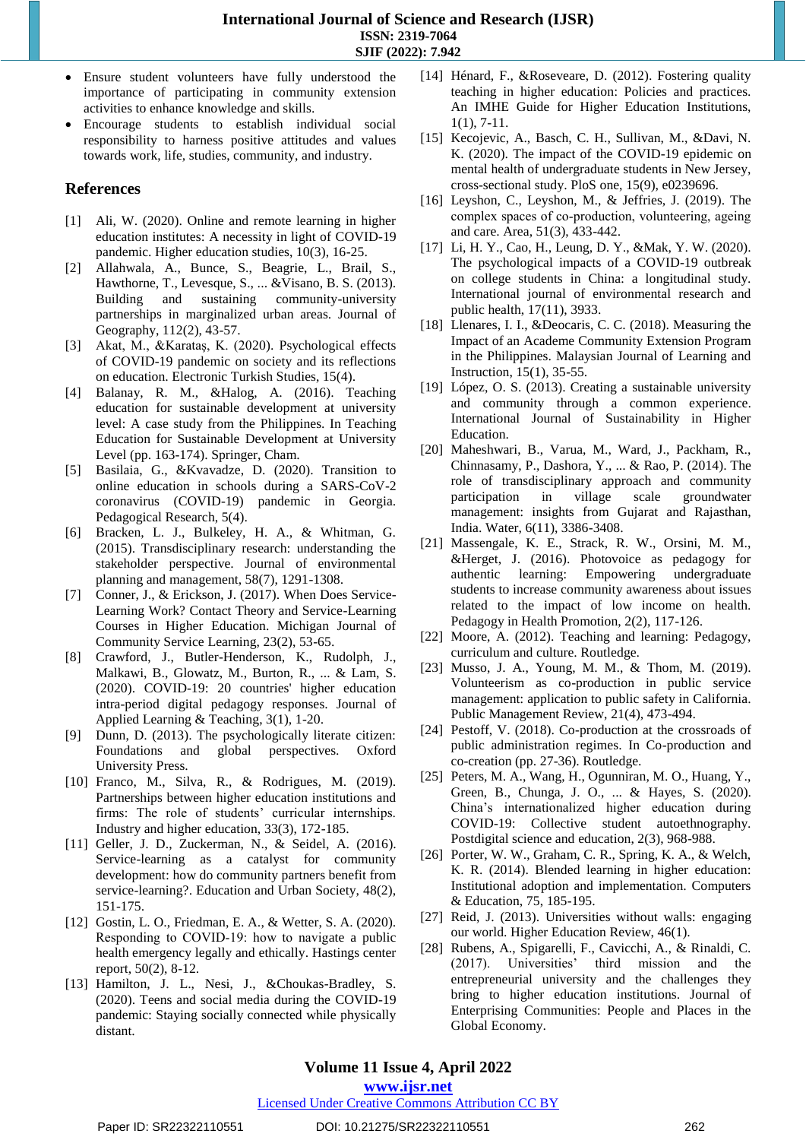**International Journal of Science and Research (IJSR) ISSN: 2319-7064 SJIF (2022): 7.942**

- Ensure student volunteers have fully understood the importance of participating in community extension activities to enhance knowledge and skills.
- Encourage students to establish individual social responsibility to harness positive attitudes and values towards work, life, studies, community, and industry.

# **References**

- [1] Ali, W. (2020). Online and remote learning in higher education institutes: A necessity in light of COVID-19 pandemic. Higher education studies, 10(3), 16-25.
- [2] Allahwala, A., Bunce, S., Beagrie, L., Brail, S., Hawthorne, T., Levesque, S., ... &Visano, B. S. (2013). Building and sustaining community-university partnerships in marginalized urban areas. Journal of Geography, 112(2), 43-57.
- [3] Akat, M., &Karataş, K. (2020). Psychological effects of COVID-19 pandemic on society and its reflections on education. Electronic Turkish Studies, 15(4).
- [4] Balanay, R. M., &Halog, A. (2016). Teaching education for sustainable development at university level: A case study from the Philippines. In Teaching Education for Sustainable Development at University Level (pp. 163-174). Springer, Cham.
- [5] Basilaia, G., &Kvavadze, D. (2020). Transition to online education in schools during a SARS-CoV-2 coronavirus (COVID-19) pandemic in Georgia. Pedagogical Research, 5(4).
- [6] Bracken, L. J., Bulkeley, H. A., & Whitman, G. (2015). Transdisciplinary research: understanding the stakeholder perspective. Journal of environmental planning and management, 58(7), 1291-1308.
- [7] Conner, J., & Erickson, J. (2017). When Does Service-Learning Work? Contact Theory and Service-Learning Courses in Higher Education. Michigan Journal of Community Service Learning, 23(2), 53-65.
- [8] Crawford, J., Butler-Henderson, K., Rudolph, J., Malkawi, B., Glowatz, M., Burton, R., ... & Lam, S. (2020). COVID-19: 20 countries' higher education intra-period digital pedagogy responses. Journal of Applied Learning & Teaching, 3(1), 1-20.
- [9] Dunn, D. (2013). The psychologically literate citizen: Foundations and global perspectives. Oxford University Press.
- [10] Franco, M., Silva, R., & Rodrigues, M. (2019). Partnerships between higher education institutions and firms: The role of students' curricular internships. Industry and higher education, 33(3), 172-185.
- [11] Geller, J. D., Zuckerman, N., & Seidel, A. (2016). Service-learning as a catalyst for community development: how do community partners benefit from service-learning?. Education and Urban Society, 48(2), 151-175.
- [12] Gostin, L. O., Friedman, E. A., & Wetter, S. A. (2020). Responding to COVID‐19: how to navigate a public health emergency legally and ethically. Hastings center report, 50(2), 8-12.
- [13] Hamilton, J. L., Nesi, J., &Choukas-Bradley, S. (2020). Teens and social media during the COVID-19 pandemic: Staying socially connected while physically distant.
- [14] Hénard, F., &Roseveare, D. (2012). Fostering quality teaching in higher education: Policies and practices. An IMHE Guide for Higher Education Institutions, 1(1), 7-11.
- [15] Kecojevic, A., Basch, C. H., Sullivan, M., &Davi, N. K. (2020). The impact of the COVID-19 epidemic on mental health of undergraduate students in New Jersey, cross-sectional study. PloS one, 15(9), e0239696.
- [16] Leyshon, C., Leyshon, M., & Jeffries, J. (2019). The complex spaces of co‐production, volunteering, ageing and care. Area, 51(3), 433-442.
- [17] Li, H. Y., Cao, H., Leung, D. Y., &Mak, Y. W. (2020). The psychological impacts of a COVID-19 outbreak on college students in China: a longitudinal study. International journal of environmental research and public health, 17(11), 3933.
- [18] Llenares, I. I., &Deocaris, C. C. (2018). Measuring the Impact of an Academe Community Extension Program in the Philippines. Malaysian Journal of Learning and Instruction, 15(1), 35-55.
- [19] López, O. S. (2013). Creating a sustainable university and community through a common experience. International Journal of Sustainability in Higher Education.
- [20] Maheshwari, B., Varua, M., Ward, J., Packham, R., Chinnasamy, P., Dashora, Y., ... & Rao, P. (2014). The role of transdisciplinary approach and community participation in village scale groundwater management: insights from Gujarat and Rajasthan, India. Water, 6(11), 3386-3408.
- [21] Massengale, K. E., Strack, R. W., Orsini, M. M., &Herget, J. (2016). Photovoice as pedagogy for authentic learning: Empowering undergraduate students to increase community awareness about issues related to the impact of low income on health. Pedagogy in Health Promotion, 2(2), 117-126.
- [22] Moore, A. (2012). Teaching and learning: Pedagogy, curriculum and culture. Routledge.
- [23] Musso, J. A., Young, M. M., & Thom, M. (2019). Volunteerism as co-production in public service management: application to public safety in California. Public Management Review, 21(4), 473-494.
- [24] Pestoff, V. (2018). Co-production at the crossroads of public administration regimes. In Co-production and co-creation (pp. 27-36). Routledge.
- [25] Peters, M. A., Wang, H., Ogunniran, M. O., Huang, Y., Green, B., Chunga, J. O., ... & Hayes, S. (2020). China's internationalized higher education during COVID-19: Collective student autoethnography. Postdigital science and education, 2(3), 968-988.
- [26] Porter, W. W., Graham, C. R., Spring, K. A., & Welch, K. R. (2014). Blended learning in higher education: Institutional adoption and implementation. Computers & Education, 75, 185-195.
- [27] Reid, J. (2013). Universities without walls: engaging our world. Higher Education Review, 46(1).
- [28] Rubens, A., Spigarelli, F., Cavicchi, A., & Rinaldi, C. (2017). Universities' third mission and the entrepreneurial university and the challenges they bring to higher education institutions. Journal of Enterprising Communities: People and Places in the Global Economy.

# **Volume 11 Issue 4, April 2022**

**www.ijsr.net**

# Licensed Under Creative Commons Attribution CC BY